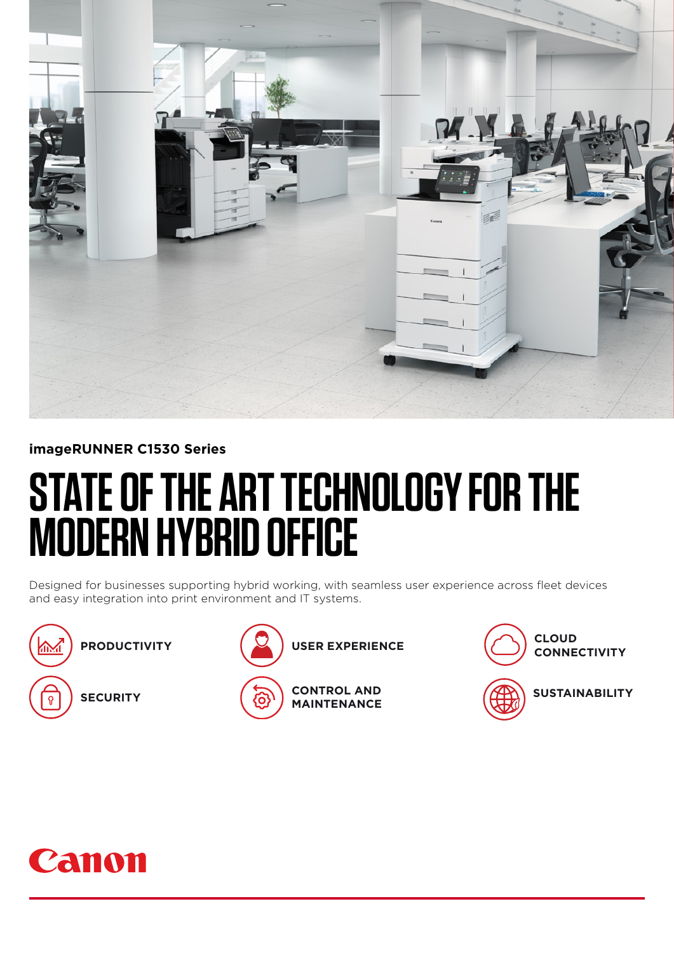

## **imageRUNNER C1530 Series**

# **STATE OF THE ART TECHNOLOGY FOR THE MODERN HYBRID OFFICE**

Designed for businesses supporting hybrid working, with seamless user experience across fleet devices and easy integration into print environment and IT systems.